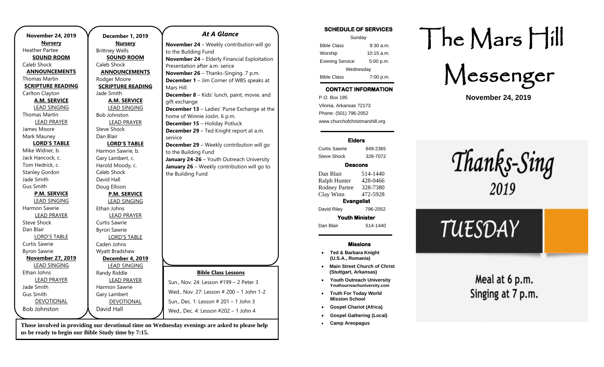| <b>November 24, 2019</b> | <b>December 1, 2019</b>  |
|--------------------------|--------------------------|
| <b>Nursery</b>           | <b>Nursery</b>           |
| <b>Heather Partee</b>    | <b>Brittney Wells</b>    |
| <b>SOUND ROOM</b>        | <b>SOUND ROOM</b>        |
| Caleb Shock              | Caleb Shock              |
| <b>ANNOUNCEMENTS</b>     | <b>ANNOUNCEMENTS</b>     |
| Thomas Martin            | Rodger Moore             |
| <b>SCRIPTURE READING</b> | <b>SCRIPTURE READING</b> |
| Carlton Clayton          | Jade Smith               |
| <b>A.M. SERVICE</b>      | <b>A.M. SERVICE</b>      |
| <b>LEAD SINGING</b>      | <b>LEAD SINGING</b>      |
| <b>Thomas Martin</b>     | <b>Bob Johnston</b>      |
| <b>LEAD PRAYER</b>       | <b>LEAD PRAYER</b>       |
| James Moore              | <b>Steve Shock</b>       |
| Mark Mauney              | Dan Blair                |
| <b>LORD'S TABLE</b>      | <b>LORD'S TABLE</b>      |
| Mike Widner, b.          | Harmon Sawrie, b.        |
| Jack Hancock, c.         | Gary Lambert, c.         |
| Tom Hedrick, c.          | Harold Moody, c.         |
| <b>Stanley Gordon</b>    | Caleb Shock              |
| Jade Smith               | David Hall               |
| Gus Smith                | Doug Ellison             |
| <b>P.M. SERVICE</b>      | <b>P.M. SERVICE</b>      |
| <b>LEAD SINGING</b>      | <b>LEAD SINGING</b>      |
| <b>Harmon Sawrie</b>     | Ethan Johns              |
| <b>LEAD PRAYER</b>       | <b>LEAD PRAYER</b>       |
| Steve Shock              | Curtis Sawrie            |
| Dan Blair                | <b>Byron Sawrie</b>      |
| <b>LORD'S TABLE</b>      | <b>LORD'S TABLE</b>      |
| Curtis Sawrie            | Caden Johns              |
| <b>Byron Sawrie</b>      | Wyatt Bradshaw           |
| <b>November 27, 2019</b> | December 4, 2019         |
| <b>LEAD SINGING</b>      | <b>LEAD SINGING</b>      |
| Ethan Johns              | Randy Riddle             |
| <b>LEAD PRAYER</b>       | <b>LEAD PRAYER</b>       |
| Jade Smith               | Harmon Sawrie            |
| <b>Gus Smith</b>         | Gary Lambert             |
| DEVOTIONAL               | <b>DEVOTIONAL</b>        |
| <b>Bob Johnston</b>      | David Hall               |

#### *At A Glance*

**November 24** – Weekly contribution will go to the Building Fund **November 24** – Elderly Financial Exploitation Presentation after a.m. serice **November 26** – Thanks-Singing. 7 p.m. **December 1** – Jim Corner of WBS speaks at Mars Hill. **December 8** – Kids' lunch, paint, movie, and gift exchange **December 13** – Ladies' Purse Exchange at the home of Winnie Joslin. 6 p.m. **December 15** – Holiday Potluck **December 29** – Ted Knight report at a.m. service **December 29** – Weekly contribution will go to the Building Fund **January 24-26** – Youth Outreach University **January 26** – Weekly contribution will go to the Building Fund **Bible Class Lessons** Sun., Nov. 24: Lesson #199 – 2 Peter 3 Wed., Nov. 27: Lesson # 200 – 1 John 1-2 Sun., Dec. 1: Lesson # 201 – 1 John 3 Wed., Dec. 4: Lesson #202 – 1 John 4

**Those involved in providing our devotional time on Wednesday evenings are asked to please help us be ready to begin our Bible Study time by 7:15.** 

### **SCHEDULE OF SERVICES**  Sunday Bible Class 9:30 a.m. Worship 10:15 a.m. Evening Service 5:00 p.m. Wednesday Bible Class 7:00 p.m.

## **CONTACT INFORMATION**

. .o. Box 166<br>Vilonia, Arkansas 72173 P.O. Box 185 Phone: (501) 796-2052 www.churchofchristmarshill.org

### **Elders**

Curtis Sawrie 849-2365 Steve Shock 328-7072

### **Deacons**

Dan Blair 514-1440 Ralph Hunter 428-0466 Rodney Partee 328-7380 Clay Winn 472-5928 **Evangelist**  David Riley 796-2052 **Youth Minister** 

Dan Blair 514-1440

#### **Missions**

- **Ted & Barbara Knight (U.S.A., Romania)**
- **Main Street Church of Christ (Stuttgart, Arkansas)**
- **Youth Outreach University Youthourreachuniversity.com**
- **Truth For Today World Mission School**
- **Gospel Chariot (Africa)**
- **Gospel Gathering (Local)**
- **Camp Areopagus**

# The Mars Hill

Messenger

**November 24, 2019**

Thanks-Sing 2019

# TUESDAY

Meal at 6 p.m. Singing at 7 p.m.